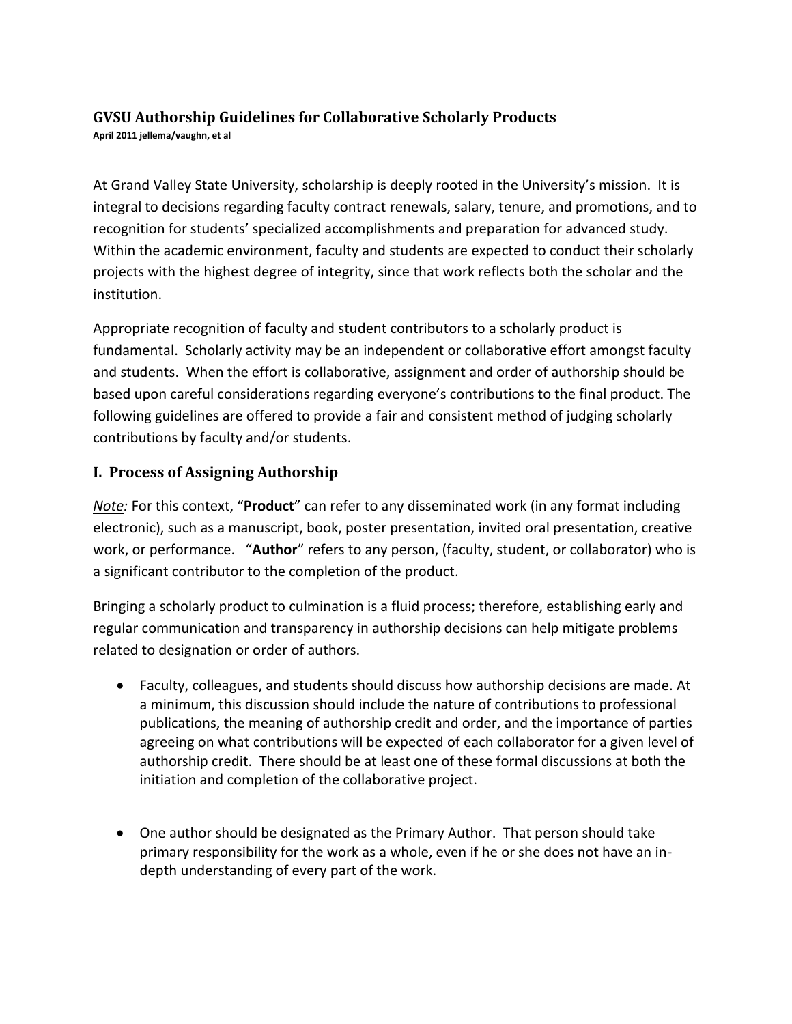## **GVSU Authorship Guidelines for Collaborative Scholarly Products April 2011 jellema/vaughn, et al**

At Grand Valley State University, scholarship is deeply rooted in the University's mission. It is integral to decisions regarding faculty contract renewals, salary, tenure, and promotions, and to recognition for students' specialized accomplishments and preparation for advanced study. Within the academic environment, faculty and students are expected to conduct their scholarly projects with the highest degree of integrity, since that work reflects both the scholar and the institution.

Appropriate recognition of faculty and student contributors to a scholarly product is fundamental. Scholarly activity may be an independent or collaborative effort amongst faculty and students. When the effort is collaborative, assignment and order of authorship should be based upon careful considerations regarding everyone's contributions to the final product. The following guidelines are offered to provide a fair and consistent method of judging scholarly contributions by faculty and/or students.

## **I. Process of Assigning Authorship**

*Note:* For this context, "**Product**" can refer to any disseminated work (in any format including electronic), such as a manuscript, book, poster presentation, invited oral presentation, creative work, or performance. "**Author**" refers to any person, (faculty, student, or collaborator) who is a significant contributor to the completion of the product.

Bringing a scholarly product to culmination is a fluid process; therefore, establishing early and regular communication and transparency in authorship decisions can help mitigate problems related to designation or order of authors.

- Faculty, colleagues, and students should discuss how authorship decisions are made. At a minimum, this discussion should include the nature of contributions to professional publications, the meaning of authorship credit and order, and the importance of parties agreeing on what contributions will be expected of each collaborator for a given level of authorship credit. There should be at least one of these formal discussions at both the initiation and completion of the collaborative project.
- One author should be designated as the Primary Author. That person should take primary responsibility for the work as a whole, even if he or she does not have an indepth understanding of every part of the work.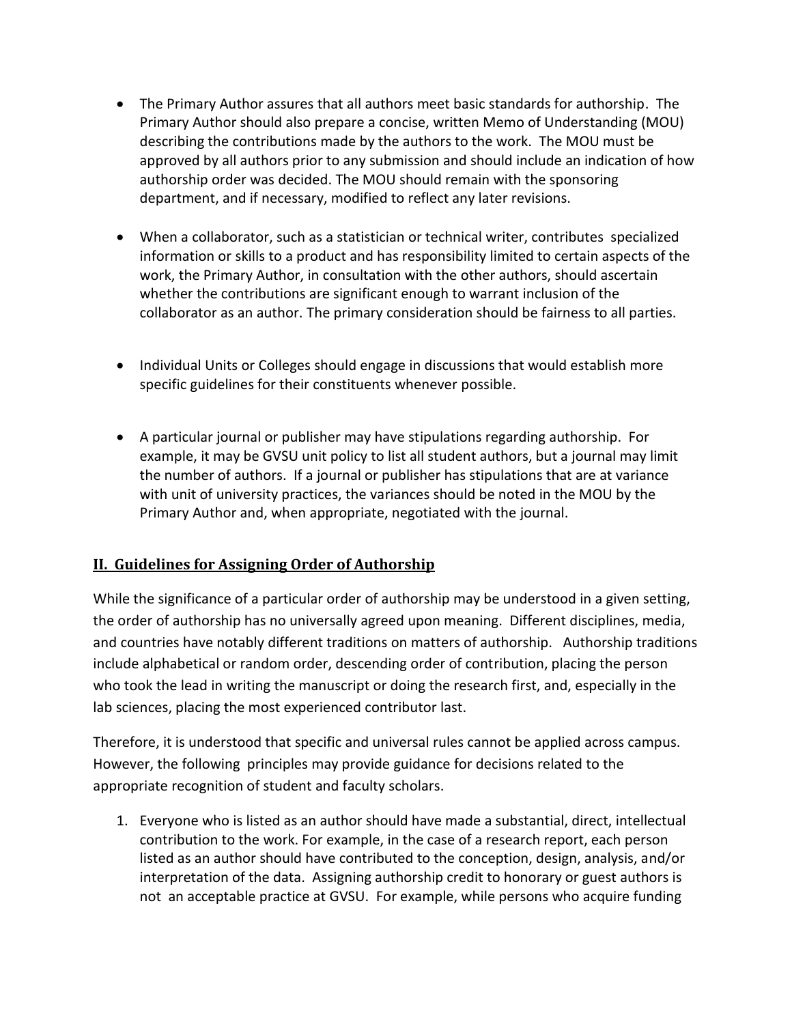- The Primary Author assures that all authors meet basic standards for authorship. The Primary Author should also prepare a concise, written Memo of Understanding (MOU) describing the contributions made by the authors to the work. The MOU must be approved by all authors prior to any submission and should include an indication of how authorship order was decided. The MOU should remain with the sponsoring department, and if necessary, modified to reflect any later revisions.
- When a collaborator, such as a statistician or technical writer, contributes specialized information or skills to a product and has responsibility limited to certain aspects of the work, the Primary Author, in consultation with the other authors, should ascertain whether the contributions are significant enough to warrant inclusion of the collaborator as an author. The primary consideration should be fairness to all parties.
- Individual Units or Colleges should engage in discussions that would establish more specific guidelines for their constituents whenever possible.
- A particular journal or publisher may have stipulations regarding authorship. For example, it may be GVSU unit policy to list all student authors, but a journal may limit the number of authors. If a journal or publisher has stipulations that are at variance with unit of university practices, the variances should be noted in the MOU by the Primary Author and, when appropriate, negotiated with the journal.

## **II. Guidelines for Assigning Order of Authorship**

While the significance of a particular order of authorship may be understood in a given setting, the order of authorship has no universally agreed upon meaning. Different disciplines, media, and countries have notably different traditions on matters of authorship. Authorship traditions include alphabetical or random order, descending order of contribution, placing the person who took the lead in writing the manuscript or doing the research first, and, especially in the lab sciences, placing the most experienced contributor last.

Therefore, it is understood that specific and universal rules cannot be applied across campus. However, the following principles may provide guidance for decisions related to the appropriate recognition of student and faculty scholars.

1. Everyone who is listed as an author should have made a substantial, direct, intellectual contribution to the work. For example, in the case of a research report, each person listed as an author should have contributed to the conception, design, analysis, and/or interpretation of the data. Assigning authorship credit to honorary or guest authors is not an acceptable practice at GVSU. For example, while persons who acquire funding